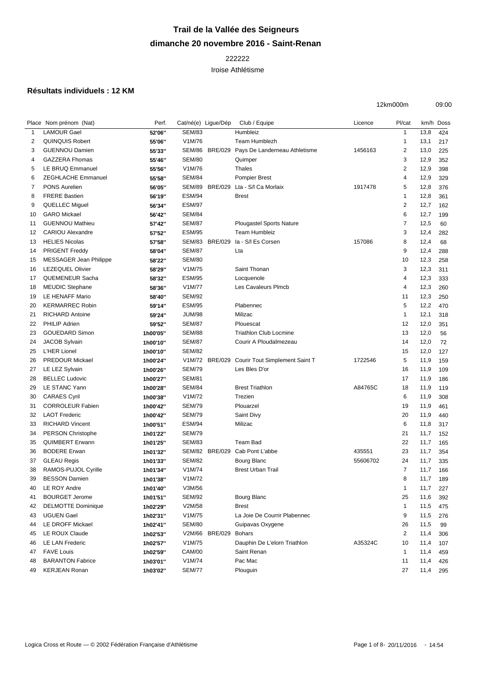## **Trail de la Vallée des Seigneurs dimanche 20 novembre 2016 - Saint-Renan**

## 

Iroise Athlétisme

## **Résultats individuels : 12 KM**

| 12km000m | 09:00 |
|----------|-------|
|          |       |

|              | Place Nom prénom (Nat)        | Perf.    | Cat/né(e) Ligue/Dép |                | Club / Equipe                   | Licence  | Pl/cat                  |      | km/h Doss |
|--------------|-------------------------------|----------|---------------------|----------------|---------------------------------|----------|-------------------------|------|-----------|
| $\mathbf{1}$ | <b>LAMOUR Gael</b>            | 52'06"   | <b>SEM/83</b>       |                | Humbleiz                        |          | $\mathbf{1}$            | 13,8 | 424       |
| 2            | <b>QUINQUIS Robert</b>        | 55'06"   | V1M/76              |                | Team Humblezh                   |          | $\mathbf{1}$            | 13,1 | 217       |
| 3            | <b>GUENNOU Damien</b>         | 55'33"   | SEM/86              | <b>BRE/029</b> | Pays De Landerneau Athletisme   | 1456163  | $\overline{\mathbf{c}}$ | 13,0 | 225       |
| 4            | <b>GAZZERA Fhomas</b>         | 55'46"   | <b>SEM/80</b>       |                | Quimper                         |          | 3                       | 12,9 | 352       |
| 5            | LE BRUQ Emmanuel              | 55'56"   | V1M/76              |                | Thales                          |          | $\overline{2}$          | 12,9 | 398       |
| 6            | <b>ZEGHLACHE Emmanuel</b>     | 55'58"   | <b>SEM/84</b>       |                | <b>Pompier Brest</b>            |          | 4                       | 12,9 | 329       |
| 7            | <b>PONS Aurelien</b>          | 56'05"   | SEM/89              | <b>BRE/029</b> | Lta - S/I Ca Morlaix            | 1917478  | 5                       | 12,8 | 376       |
| 8            | <b>FRERE Bastien</b>          | 56'19"   | <b>ESM/94</b>       |                | <b>Brest</b>                    |          | $\mathbf{1}$            | 12,8 | 361       |
| 9            | QUELLEC Miguel                | 56'34"   | <b>ESM/97</b>       |                |                                 |          | $\overline{2}$          | 12,7 | 162       |
| 10           | <b>GARO</b> Mickael           | 56'42"   | <b>SEM/84</b>       |                |                                 |          | 6                       | 12,7 | 199       |
| 11           | <b>GUENNOU Mathieu</b>        | 57'42"   | <b>SEM/87</b>       |                | <b>Plougastel Sports Nature</b> |          | 7                       | 12,5 | 60        |
| 12           | <b>CARIOU Alexandre</b>       | 57'52"   | <b>ESM/95</b>       |                | <b>Team Humbleiz</b>            |          | 3                       | 12,4 | 282       |
| 13           | <b>HELIES Nicolas</b>         | 57'58"   | SEM/83              | <b>BRE/029</b> | la - S/I Es Corsen              | 157086   | 8                       | 12,4 | 68        |
| 14           | <b>PRIGENT Freddy</b>         | 58'04"   | <b>SEM/87</b>       |                | Lta                             |          | 9                       | 12,4 | 288       |
| 15           | <b>MESSAGER Jean Philippe</b> | 58'22"   | <b>SEM/80</b>       |                |                                 |          | 10                      | 12,3 | 258       |
| 16           | <b>LEZEQUEL Olivier</b>       | 58'29"   | V1M/75              |                | Saint Thonan                    |          | 3                       | 12,3 | 311       |
| 17           | QUEMENEUR Sacha               | 58'32"   | <b>ESM/95</b>       |                | Locquenole                      |          | 4                       | 12,3 | 333       |
| 18           | <b>MEUDIC Stephane</b>        | 58'36"   | V1M/77              |                | Les Cavaleurs Plmcb             |          | 4                       | 12,3 | 260       |
| 19           | LE HENAFF Mario               | 58'40"   | <b>SEM/92</b>       |                |                                 |          | 11                      | 12,3 | 250       |
| 20           | <b>KERMARREC Robin</b>        | 59'14"   | <b>ESM/95</b>       |                | Plabennec                       |          | 5                       | 12,2 | 470       |
| 21           | RICHARD Antoine               | 59'24"   | <b>JUM/98</b>       |                | Milizac                         |          | $\mathbf{1}$            | 12,1 | 318       |
| 22           | <b>PHILIP Adrien</b>          | 59'52"   | <b>SEM/87</b>       |                | Plouescat                       |          | 12                      | 12,0 | 351       |
| 23           | <b>GOUEDARD Simon</b>         | 1h00'05" | <b>SEM/88</b>       |                | <b>Triathlon Club Locmine</b>   |          | 13                      | 12,0 | 56        |
| 24           | <b>JACOB Sylvain</b>          | 1h00'10" | <b>SEM/87</b>       |                | Courir A Ploudalmezeau          |          | 14                      | 12,0 | 72        |
| 25           | L'HER Lionel                  | 1h00'10" | <b>SEM/82</b>       |                |                                 |          | 15                      | 12,0 | 127       |
| 26           | <b>PREDOUR Mickael</b>        | 1h00'24" |                     | V1M/72 BRE/029 | Courir Tout Simplement Saint T  | 1722546  | 5                       | 11,9 | 159       |
| 27           | LE LEZ Sylvain                | 1h00'26" | <b>SEM/79</b>       |                | Les Bles D'or                   |          | 16                      | 11,9 | 109       |
| 28           | <b>BELLEC Ludovic</b>         | 1h00'27" | <b>SEM/81</b>       |                |                                 |          | 17                      | 11,9 | 186       |
| 29           | LE STANC Yann                 | 1h00'28" | <b>SEM/84</b>       |                | <b>Brest Triathlon</b>          | A84765C  | 18                      | 11,9 | 119       |
| 30           | <b>CARAES Cyril</b>           | 1h00'38" | V1M/72              |                | Trezien                         |          | 6                       | 11,9 | 308       |
| 31           | <b>CORROLEUR Fabien</b>       | 1h00'42" | <b>SEM/79</b>       |                | Plouarzel                       |          | 19                      | 11,9 | 461       |
| 32           | <b>LAOT Frederic</b>          | 1h00'42" | <b>SEM/79</b>       |                | Saint Divy                      |          | 20                      | 11,9 | 440       |
| 33           | <b>RICHARD Vincent</b>        | 1h00'51" | <b>ESM/94</b>       |                | Milizac                         |          | 6                       | 11,8 | 317       |
| 34           | PERSON Christophe             | 1h01'22" | <b>SEM/79</b>       |                |                                 |          | 21                      | 11,7 | 152       |
| 35           | <b>QUIMBERT Erwann</b>        | 1h01'25" | <b>SEM/83</b>       |                | Team Bad                        |          | 22                      | 11,7 | 165       |
| 36           | <b>BODERE</b> Erwan           | 1h01'32" |                     | SEM/82 BRE/029 | Cab Pont L'abbe                 | 435551   | 23                      | 11,7 | 354       |
| 37           | <b>GLEAU Regis</b>            | 1h01'33" | <b>SEM/82</b>       |                | Bourg Blanc                     | 55606702 | 24                      | 11,7 | 335       |
| 38           | RAMOS-PUJOL Cyrille           | 1h01'34" | V1M/74              |                | <b>Brest Urban Trail</b>        |          | $\overline{7}$          | 11,7 | 166       |
| 39           | <b>BESSON Damien</b>          | 1h01'38" | V1M/72              |                |                                 |          | 8                       | 11,7 | 189       |
| 40           | LE ROY Andre                  | 1h01'40" | V3M/56              |                |                                 |          | $\overline{1}$          | 11,7 | 227       |
| 41           | <b>BOURGET Jerome</b>         | 1h01'51" | <b>SEM/92</b>       |                | <b>Bourg Blanc</b>              |          | 25                      | 11,6 | 392       |
| 42           | <b>DELMOTTE Dominique</b>     | 1h02'29" | V2M/58              |                | <b>Brest</b>                    |          | 1                       | 11,5 | 475       |
| 43           | <b>UGUEN Gael</b>             | 1h02'31" | V1M/75              |                | La Joie De Courrir Plabennec    |          | 9                       | 11,5 | 276       |
| 44           | LE DROFF Mickael              | 1h02'41" | <b>SEM/80</b>       |                | Guipavas Oxygene                |          | 26                      | 11,5 | 99        |
| 45           | LE ROUX Claude                | 1h02'53" |                     | V2M/66 BRE/029 | <b>Bohars</b>                   |          | $\overline{\mathbf{c}}$ | 11,4 | 306       |
| 46           | LE LAN Frederic               | 1h02'57" | V1M/75              |                | Dauphin De L'elorn Triathlon    | A35324C  | 10                      | 11,4 | 107       |
| 47           | <b>FAVE Louis</b>             | 1h02'59" | <b>CAM/00</b>       |                | Saint Renan                     |          | $\mathbf{1}$            | 11,4 | 459       |
| 48           | <b>BARANTON Fabrice</b>       | 1h03'01" | V1M/74              |                | Pac Mac                         |          | 11                      | 11,4 | 426       |
| 49           | <b>KERJEAN Ronan</b>          | 1h03'02" | <b>SEM/77</b>       |                | Plouguin                        |          | 27                      | 11,4 | 295       |
|              |                               |          |                     |                |                                 |          |                         |      |           |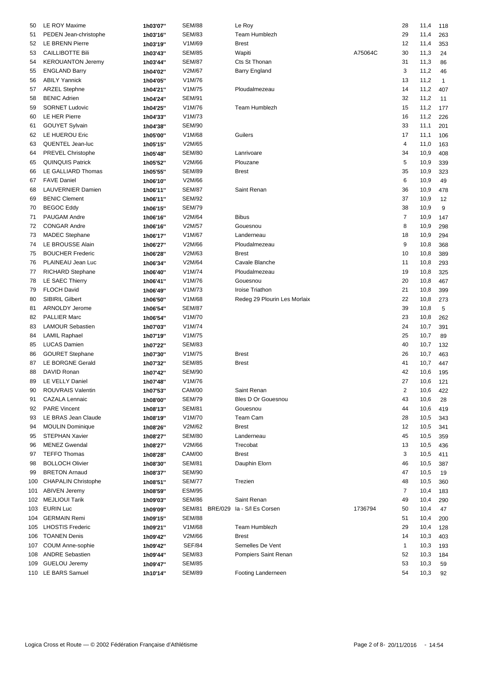| 50  | LE ROY Maxime              | 1h03'07" | <b>SEM/88</b>                     | Le Roy                       |         | 28             | 11,4     | 118 |
|-----|----------------------------|----------|-----------------------------------|------------------------------|---------|----------------|----------|-----|
| 51  | PEDEN Jean-christophe      | 1h03'16" | <b>SEM/83</b>                     | Team Humblezh                |         | 29             | 11,4     | 263 |
| 52  | <b>LE BRENN Pierre</b>     | 1h03'19" | V1M/69                            | <b>Brest</b>                 |         | 12             | 11,4     | 353 |
| 53  | <b>CAILLIBOTTE Bili</b>    | 1h03'43" | <b>SEM/85</b>                     | Wapiti                       | A75064C | 30             | 11,3     | 24  |
| 54  | <b>KEROUANTON Jeremy</b>   | 1h03'44" | <b>SEM/87</b>                     | Cts St Thonan                |         | 31             | 11,3     | 86  |
| 55  | <b>ENGLAND Barry</b>       | 1h04'02" | V2M/67                            | <b>Barry England</b>         |         | 3              | 11,2     | 46  |
|     | <b>ABILY Yannick</b>       |          |                                   |                              |         |                |          |     |
| 56  |                            | 1h04'05" | V1M/76                            |                              |         | 13             | 11,2     | 1   |
| 57  | <b>ARZEL Stephne</b>       | 1h04'21" | V1M/75                            | Ploudalmezeau                |         | 14             | 11,2     | 407 |
| 58  | <b>BENIC Adrien</b>        | 1h04'24" | <b>SEM/91</b>                     |                              |         | 32             | 11,2     | 11  |
| 59  | <b>SORNET Ludovic</b>      | 1h04'25" | V1M/76                            | Team Humblezh                |         | 15             | 11,2     | 177 |
| 60  | LE HER Pierre              | 1h04'33" | V1M/73                            |                              |         | 16             | 11,2     | 226 |
| 61  | <b>GOUYET Sylvain</b>      | 1h04'38" | <b>SEM/90</b>                     |                              |         | 33             | 11,1     | 201 |
| 62  | LE HUEROU Eric             | 1h05'00" | V1M/68                            | Guilers                      |         | 17             | 11,1     | 106 |
| 63  | QUENTEL Jean-luc           | 1h05'15" | V2M/65                            |                              |         | 4              | 11,0     | 163 |
| 64  | PREVEL Christophe          | 1h05'48" | <b>SEM/80</b>                     | Lanrivoare                   |         | 34             | 10,9     | 408 |
| 65  | <b>QUINQUIS Patrick</b>    | 1h05'52" | V2M/66                            | Plouzane                     |         | 5              | 10,9     | 339 |
| 66  | LE GALLIARD Thomas         | 1h05'55" | <b>SEM/89</b>                     | <b>Brest</b>                 |         | 35             | 10,9     | 323 |
| 67  | <b>FAVE Daniel</b>         | 1h06'10" | V2M/66                            |                              |         | 6              | 10,9     | 49  |
| 68  | <b>LAUVERNIER Damien</b>   | 1h06'11" | <b>SEM/87</b>                     | Saint Renan                  |         | 36             | 10,9     | 478 |
| 69  | <b>BENIC Clement</b>       | 1h06'11" | <b>SEM/92</b>                     |                              |         | 37             | 10,9     | 12  |
| 70  | <b>BEGOC Eddy</b>          | 1h06'15" | <b>SEM/79</b>                     |                              |         | 38             | 10,9     | 9   |
| 71  | PAUGAM Andre               | 1h06'16" | V2M/64                            | <b>Bibus</b>                 |         | 7              | 10,9     | 147 |
| 72  | <b>CONGAR Andre</b>        | 1h06'16" | V2M/57                            | Gouesnou                     |         | 8              | 10,9     | 298 |
| 73  | <b>MADEC</b> Stephane      | 1h06'17" | V1M/67                            | Landerneau                   |         | 18             | 10,9     | 294 |
| 74  | LE BROUSSE Alain           | 1h06'27" | V2M/66                            | Ploudalmezeau                |         | 9              | 10,8     | 368 |
| 75  | <b>BOUCHER Frederic</b>    |          | V2M/63                            | <b>Brest</b>                 |         | 10             | 10,8     | 389 |
|     | PLAINEAU Jean Luc          | 1h06'28" | V2M/64                            | Cavale Blanche               |         | 11             | 10,8     |     |
| 76  |                            | 1h06'34" |                                   |                              |         |                |          | 293 |
| 77  | <b>RICHARD Stephane</b>    | 1h06'40" | V1M/74                            | Ploudalmezeau                |         | 19             | 10,8     | 325 |
| 78  | LE SAEC Thierry            | 1h06'41" | V1M/76                            | Gouesnou                     |         | 20             | 10,8     | 467 |
| 79  | <b>FLOCH David</b>         | 1h06'49" | V1M/73                            | Iroise Triathon              |         | 21             | 10,8     | 399 |
| 80  | <b>SIBIRIL Gilbert</b>     | 1h06'50" | V1M/68                            | Redeg 29 Plourin Les Morlaix |         | 22             | 10,8     | 273 |
| 81  | ARNOLDY Jerome             | 1h06'54" | <b>SEM/87</b>                     |                              |         | 39             | 10,8     | 5   |
| 82  | <b>PALLIER Marc</b>        | 1h06'54" | V1M/70                            |                              |         | 23             | 10,8     | 262 |
| 83  | <b>LAMOUR Sebastien</b>    | 1h07'03" | V1M/74                            |                              |         | 24             | 10,7     | 391 |
| 84  | <b>LAMIL Raphael</b>       | 1h07'19" | V1M/75                            |                              |         | 25             | 10,7     | 89  |
| 85  | <b>LUCAS Damien</b>        | 1h07'22" | <b>SEM/83</b>                     |                              |         | 40             | 10,7     | 132 |
| 86  | <b>GOURET Stephane</b>     | 1h07'30" | V1M/75                            | <b>Brest</b>                 |         | 26             | 10,7     | 463 |
| 87  | LE BORGNE Gerald           | 1h07'32" | <b>SEM/85</b>                     | <b>Brest</b>                 |         | 41             | 10,7     | 447 |
| 88  | DAVID Ronan                | 1h07'42" | <b>SEM/90</b>                     |                              |         | 42             | 10,6     | 195 |
|     | 89 LE VELLY Daniel         | 1h07'48" | V1M/76                            |                              |         | 27             | 10,6 121 |     |
| 90  | ROUVRAIS Valentin          | 1h07'53" | <b>CAM/00</b>                     | Saint Renan                  |         | $\overline{c}$ | 10,6     | 422 |
| 91  | <b>CAZALA Lennaic</b>      | 1h08'00" | <b>SEM/79</b>                     | Bles D Or Gouesnou           |         | 43             | 10,6     | 28  |
| 92  | <b>PARE Vincent</b>        | 1h08'13" | <b>SEM/81</b>                     | Gouesnou                     |         | 44             | 10,6     | 419 |
| 93  | LE BRAS Jean Claude        | 1h08'19" | V1M/70                            | Team Cam                     |         | 28             | 10,5     | 343 |
| 94  | <b>MOULIN Dominique</b>    | 1h08'26" | V2M/62                            | <b>Brest</b>                 |         | 12             | 10,5     | 341 |
| 95  | STEPHAN Xavier             | 1h08'27" | <b>SEM/80</b>                     | Landerneau                   |         | 45             | 10,5     | 359 |
| 96  | <b>MENEZ Gwendal</b>       |          | V2M/66                            | Trecobat                     |         | 13             | 10,5     |     |
|     | <b>TEFFO Thomas</b>        | 1h08'27" |                                   |                              |         |                |          | 436 |
| 97  |                            | 1h08'28" | CAM/00                            | <b>Brest</b>                 |         | 3              | 10,5     | 411 |
| 98  | <b>BOLLOCH Olivier</b>     | 1h08'30" | <b>SEM/81</b>                     | Dauphin Elorn                |         | 46             | 10,5     | 387 |
| 99  | <b>BRETON Arnaud</b>       | 1h08'37" | SEM/90                            |                              |         | 47             | 10,5     | 19  |
| 100 | <b>CHAPALIN Christophe</b> | 1h08'51" | <b>SEM/77</b>                     | Trezien                      |         | 48             | 10,5     | 360 |
| 101 | <b>ABIVEN Jeremy</b>       | 1h08'59" | <b>ESM/95</b>                     |                              |         | 7              | 10,4     | 183 |
| 102 | <b>MEJLIOUI Tarik</b>      | 1h09'03" | <b>SEM/86</b>                     | Saint Renan                  |         | 49             | 10,4     | 290 |
|     | 103 EURIN Luc              | 1h09'09" | SEM/81 BRE/029 la - S/l Es Corsen |                              | 1736794 | 50             | 10,4     | 47  |
| 104 | <b>GERMAIN Remi</b>        | 1h09'15" | <b>SEM/88</b>                     |                              |         | 51             | 10,4     | 200 |
| 105 | <b>LHOSTIS Frederic</b>    | 1h09'21" | V1M/68                            | Team Humblezh                |         | 29             | 10,4     | 128 |
| 106 | <b>TOANEN Denis</b>        | 1h09'42" | V2M/66                            | <b>Brest</b>                 |         | 14             | 10,3     | 403 |
| 107 | <b>COUM Anne-sophie</b>    | 1h09'42" | <b>SEF/84</b>                     | Semelles De Vent             |         | 1              | 10,3     | 193 |
| 108 | <b>ANDRE Sebastien</b>     | 1h09'44" | <b>SEM/83</b>                     | Pompiers Saint Renan         |         | 52             | 10,3     | 184 |
|     | 109 GUELOU Jeremy          | 1h09'47" | <b>SEM/85</b>                     |                              |         | 53             | 10,3     | 59  |
|     | 110 LE BARS Samuel         | 1h10'14" | <b>SEM/89</b>                     | Footing Landerneen           |         | 54             | 10,3     | 92  |
|     |                            |          |                                   |                              |         |                |          |     |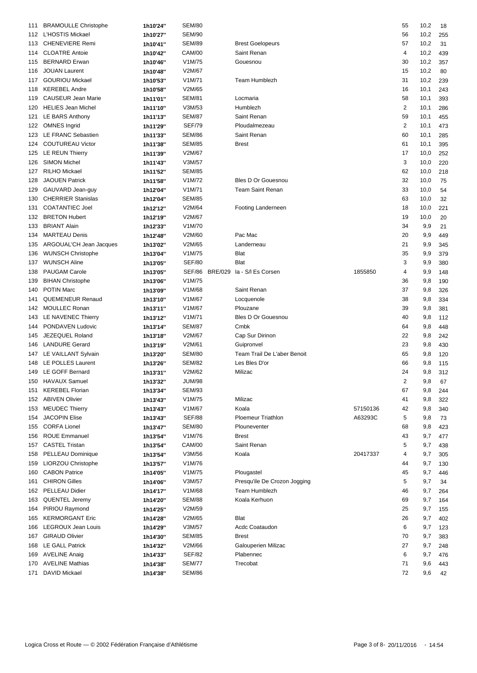| 111 | <b>BRAMOULLE Christophe</b>              | 1h10'24"             | <b>SEM/80</b>  |                              |          | 55             | 10,2 | 18  |
|-----|------------------------------------------|----------------------|----------------|------------------------------|----------|----------------|------|-----|
|     | 112 L'HOSTIS Mickael                     | 1h10'27"             | <b>SEM/90</b>  |                              |          | 56             | 10,2 | 255 |
| 113 | <b>CHENEVIERE Remi</b>                   | 1h10'41"             | <b>SEM/89</b>  | <b>Brest Goelopeurs</b>      |          | 57             | 10,2 | 31  |
| 114 | <b>CLOATRE Antoie</b>                    | 1h10'42"             | <b>CAM/00</b>  | Saint Renan                  |          | 4              | 10,2 | 439 |
| 115 | <b>BERNARD Erwan</b>                     | 1h10'46"             | V1M/75         | Gouesnou                     |          | 30             | 10,2 | 357 |
| 116 | <b>JOUAN Laurent</b>                     | 1h10'48"             | V2M/67         |                              |          | 15             | 10,2 | 80  |
| 117 | <b>GOURIOU Mickael</b>                   | 1h10'53"             | V1M/71         | <b>Team Humblezh</b>         |          | 31             | 10,2 | 239 |
| 118 | <b>KEREBEL Andre</b>                     | 1h10'58"             | V2M/65         |                              |          | 16             | 10,1 | 243 |
| 119 | CAUSEUR Jean Marie                       | 1h11'01"             | <b>SEM/81</b>  | Locmaria                     |          | 58             | 10,1 | 393 |
| 120 | <b>HELIES Jean Michel</b>                | 1h11'10"             | V3M/53         | Humblezh                     |          | $\overline{2}$ | 10,1 | 286 |
| 121 | LE BARS Anthony                          |                      | <b>SEM/87</b>  | Saint Renan                  |          | 59             | 10,1 | 455 |
|     | <b>OMNES Ingrid</b>                      | 1h11'13"<br>1h11'29" | <b>SEF/79</b>  | Ploudalmezeau                |          | $\overline{2}$ |      |     |
| 122 | LE FRANC Sebastien                       |                      | <b>SEM/86</b>  | Saint Renan                  |          |                | 10,1 | 473 |
| 123 |                                          | 1h11'33"             |                | <b>Brest</b>                 |          | 60             | 10,1 | 285 |
| 124 | <b>COUTUREAU Victor</b>                  | 1h11'38"             | <b>SEM/85</b>  |                              |          | 61             | 10,1 | 395 |
| 125 | LE REUN Thierry                          | 1h11'39"             | V2M/67         |                              |          | 17             | 10,0 | 252 |
| 126 | <b>SIMON Michel</b>                      | 1h11'43"             | V3M/57         |                              |          | 3              | 10,0 | 220 |
| 127 | <b>RILHO Mickael</b>                     | 1h11'52"             | <b>SEM/85</b>  |                              |          | 62             | 10,0 | 218 |
| 128 | <b>JAOUEN Patrick</b>                    | 1h11'58"             | V1M/72         | <b>Bles D Or Gouesnou</b>    |          | 32             | 10,0 | 75  |
| 129 | GAUVARD Jean-guy                         | 1h12'04"             | V1M/71         | <b>Team Saint Renan</b>      |          | 33             | 10,0 | 54  |
| 130 | <b>CHERRIER Stanislas</b>                | 1h12'04"             | <b>SEM/85</b>  |                              |          | 63             | 10,0 | 32  |
| 131 | <b>COATANTIEC Joel</b>                   | 1h12'12"             | V2M/64         | Footing Landerneen           |          | 18             | 10,0 | 221 |
| 132 | <b>BRETON Hubert</b>                     | 1h12'19"             | V2M/67         |                              |          | 19             | 10,0 | 20  |
| 133 | <b>BRIANT Alain</b>                      | 1h12'33"             | V1M/70         |                              |          | 34             | 9,9  | 21  |
| 134 | <b>MARTEAU Denis</b>                     | 1h12'48"             | V2M/60         | Pac Mac                      |          | 20             | 9,9  | 449 |
| 135 | ARGOUAL'CH Jean Jacques                  | 1h13'02"             | V2M/65         | Landerneau                   |          | 21             | 9,9  | 345 |
| 136 | <b>WUNSCH Christophe</b>                 | 1h13'04"             | V1M/75         | Blat                         |          | 35             | 9,9  | 379 |
| 137 | <b>WUNSCH Aline</b>                      | 1h13'05"             | <b>SEF/80</b>  | <b>Blat</b>                  |          | 3              | 9,9  | 380 |
| 138 | PAUGAM Carole                            | 1h13'05"             | SEF/86 BRE/029 | la - S/I Es Corsen           | 1855850  | 4              | 9,9  | 148 |
| 139 | <b>BIHAN Christophe</b>                  | 1h13'06"             | V1M/75         |                              |          | 36             | 9,8  | 190 |
| 140 | <b>POTIN Marc</b>                        | 1h13'09"             | V1M/68         | Saint Renan                  |          | 37             | 9,8  | 326 |
| 141 | <b>QUEMENEUR Renaud</b>                  | 1h13'10"             | V1M/67         | Locquenole                   |          | 38             | 9,8  | 334 |
| 142 | <b>MOULLEC Ronan</b>                     | 1h13'11"             | V1M/67         | Plouzane                     |          | 39             | 9,8  | 381 |
| 143 | LE NAVENEC Thierry                       | 1h13'12"             | V1M/71         | <b>Bles D Or Gouesnou</b>    |          | 40             | 9,8  | 112 |
| 144 | PONDAVEN Ludovic                         | 1h13'14"             | <b>SEM/87</b>  | Cmbk                         |          | 64             | 9,8  | 448 |
| 145 | JEZEQUEL Roland                          | 1h13'18"             | V2M/67         | Cap Sur Dirinon              |          | 22             | 9,8  | 242 |
| 146 | <b>LANDURE Gerard</b>                    |                      | V2M/61         | Guipronvel                   |          | 23             | 9,8  | 430 |
|     |                                          | 1h13'19"             | <b>SEM/80</b>  | Team Trail De L'aber Benoit  |          | 65             |      |     |
| 147 | LE VAILLANT Sylvain<br>LE POLLES Laurent | 1h13'20"             |                |                              |          |                | 9,8  | 120 |
| 148 |                                          | 1h13'26"             | <b>SEM/82</b>  | Les Bles D'or                |          | 66             | 9,8  | 115 |
|     | 149 LE GOFF Bernard                      | 1h13'31"             | V2M/62         | Milizac                      |          | 24             | 9,8  | 312 |
|     | 150 HAVAUX Samuel                        | 1h13'32"             | <b>JUM/98</b>  |                              |          | $\sqrt{2}$     | 9,8  | 67  |
| 151 | <b>KEREBEL Florian</b>                   | 1h13'34"             | <b>SEM/93</b>  |                              |          | 67             | 9,8  | 244 |
|     | 152 ABIVEN Olivier                       | 1h13'43"             | V1M/75         | Milizac                      |          | 41             | 9,8  | 322 |
| 153 | <b>MEUDEC Thierry</b>                    | 1h13'43"             | V1M/67         | Koala                        | 57150136 | 42             | 9,8  | 340 |
| 154 | <b>JACOPIN Elise</b>                     | 1h13'43"             | <b>SEF/88</b>  | <b>Ploemeur Triathlon</b>    | A63293C  | 5              | 9,8  | 73  |
| 155 | <b>CORFA Lionel</b>                      | 1h13'47"             | <b>SEM/80</b>  | Plouneventer                 |          | 68             | 9,8  | 423 |
| 156 | <b>ROUE Emmanuel</b>                     | 1h13'54"             | V1M/76         | <b>Brest</b>                 |          | 43             | 9,7  | 477 |
| 157 | <b>CASTEL Tristan</b>                    | 1h13'54"             | <b>CAM/00</b>  | Saint Renan                  |          | 5              | 9,7  | 438 |
| 158 | PELLEAU Dominique                        | 1h13'54"             | V3M/56         | Koala                        | 20417337 | 4              | 9,7  | 305 |
| 159 | LIORZOU Christophe                       | 1h13'57"             | V1M/76         |                              |          | 44             | 9,7  | 130 |
| 160 | <b>CABON Patrice</b>                     | 1h14'05"             | V1M/75         | Plougastel                   |          | 45             | 9,7  | 446 |
| 161 | <b>CHIRON Gilles</b>                     | 1h14'06"             | V3M/57         | Presqu'ile De Crozon Jogging |          | 5              | 9,7  | 34  |
| 162 | <b>PELLEAU Didier</b>                    | 1h14'17"             | V1M/68         | <b>Team Humblezh</b>         |          | 46             | 9,7  | 264 |
| 163 | QUENTEL Jeremy                           | 1h14'20"             | <b>SEM/88</b>  | Koala Kerhuon                |          | 69             | 9,7  | 164 |
| 164 | PIRIOU Raymond                           | 1h14'25"             | V2M/59         |                              |          | 25             | 9,7  | 155 |
| 165 | <b>KERMORGANT Eric</b>                   | 1h14'28"             | V2M/65         | Blat                         |          | 26             | 9,7  | 402 |
| 166 | <b>LEGROUX Jean Louis</b>                | 1h14'29"             | V3M/57         | <b>Acdc Coataudon</b>        |          | 6              | 9,7  | 123 |
| 167 | <b>GIRAUD Olivier</b>                    | 1h14'30"             | <b>SEM/85</b>  | <b>Brest</b>                 |          | 70             | 9,7  | 383 |
| 168 | <b>LE GALL Patrick</b>                   |                      | V2M/66         | Galouperien Milizac          |          | 27             | 9,7  | 248 |
| 169 | <b>AVELINE Anaig</b>                     | 1h14'32"             | <b>SEF/82</b>  | Plabennec                    |          | 6              | 9,7  | 476 |
|     | <b>AVELINE Mathias</b>                   | 1h14'33"             | <b>SEM/77</b>  | Trecobat                     |          | 71             |      |     |
| 170 |                                          | 1h14'38"             |                |                              |          |                | 9,6  | 443 |
|     | 171 DAVID Mickael                        | 1h14'38"             | <b>SEM/86</b>  |                              |          | 72             | 9,6  | 42  |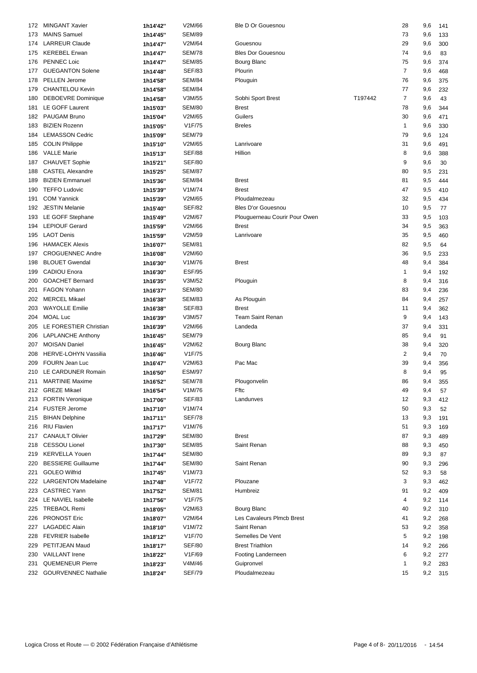| 172 | <b>MINGANT Xavier</b>       | 1h14'42" | V2M/66        | Ble D Or Gouesnou             |         | 28             | 9,6     | 141 |
|-----|-----------------------------|----------|---------------|-------------------------------|---------|----------------|---------|-----|
| 173 | <b>MAINS Samuel</b>         | 1h14'45" | <b>SEM/89</b> |                               |         | 73             | 9,6     | 133 |
| 174 | <b>LARREUR Claude</b>       | 1h14'47" | V2M/64        | Gouesnou                      |         | 29             | 9,6     | 300 |
|     | 175 KEREBEL Erwan           | 1h14'47" | <b>SEM/78</b> | <b>Bles Dor Gouesnou</b>      |         | 74             | 9,6     | 83  |
| 176 | <b>PENNEC Loic</b>          | 1h14'47" | <b>SEM/85</b> | Bourg Blanc                   |         | 75             | 9,6     | 374 |
| 177 | <b>GUEGANTON Solene</b>     | 1h14'48" | <b>SEF/83</b> | Plourin                       |         | $\overline{7}$ | 9,6     | 468 |
|     | PELLEN Jerome               |          |               |                               |         |                |         |     |
| 178 | <b>CHANTELOU Kevin</b>      | 1h14'58" | <b>SEM/84</b> | Plouguin                      |         | 76             | 9,6     | 375 |
| 179 |                             | 1h14'58" | <b>SEM/84</b> |                               |         | 77             | 9,6     | 232 |
| 180 | <b>DEBOEVRE Dominique</b>   | 1h14'58" | V3M/55        | Sobhi Sport Brest             | T197442 | $\overline{7}$ | 9,6     | 43  |
| 181 | LE GOFF Laurent             | 1h15'03" | <b>SEM/80</b> | Brest                         |         | 78             | 9,6     | 344 |
| 182 | PAUGAM Bruno                | 1h15'04" | V2M/65        | Guilers                       |         | 30             | 9,6     | 471 |
| 183 | <b>BIZIEN Rozenn</b>        | 1h15'05" | V1F/75        | <b>Breles</b>                 |         | $\mathbf{1}$   | 9,6     | 330 |
| 184 | <b>LEMASSON Cedric</b>      | 1h15'09" | <b>SEM/79</b> |                               |         | 79             | 9,6     | 124 |
| 185 | <b>COLIN Philippe</b>       | 1h15'10" | V2M/65        | Lanrivoare                    |         | 31             | 9,6     | 491 |
| 186 | <b>VALLE Marie</b>          | 1h15'13" | <b>SEF/88</b> | Hillion                       |         | 8              | 9,6     | 388 |
| 187 | <b>CHAUVET Sophie</b>       | 1h15'21" | <b>SEF/80</b> |                               |         | 9              | 9,6     | 30  |
| 188 | <b>CASTEL Alexandre</b>     | 1h15'25" | <b>SEM/87</b> |                               |         | 80             | 9,5     | 231 |
| 189 | <b>BIZIEN Emmanuel</b>      | 1h15'36" | <b>SEM/84</b> | <b>Brest</b>                  |         | 81             | 9,5     | 444 |
| 190 | <b>TEFFO Ludovic</b>        | 1h15'39" | V1M/74        | <b>Brest</b>                  |         | 47             | 9,5     | 410 |
| 191 | <b>COM Yannick</b>          | 1h15'39" | V2M/65        | Ploudalmezeau                 |         | 32             | 9,5     | 434 |
| 192 | <b>JESTIN Melanie</b>       | 1h15'40" | <b>SEF/82</b> | <b>Bles D'or Gouesnou</b>     |         | 10             | 9,5     | 77  |
| 193 | LE GOFF Stephane            | 1h15'49" | V2M/67        | Plouguerneau Courir Pour Owen |         | 33             | 9,5     | 103 |
| 194 | <b>LEPIOUF Gerard</b>       | 1h15'59" | V2M/66        | <b>Brest</b>                  |         | 34             | 9,5     | 363 |
| 195 | <b>LAOT Denis</b>           | 1h15'59" | V2M/59        | Lanrivoare                    |         | 35             | 9,5     | 460 |
| 196 | <b>HAMACEK Alexis</b>       | 1h16'07" | <b>SEM/81</b> |                               |         | 82             | 9,5     | 64  |
|     | <b>CROGUENNEC Andre</b>     |          |               |                               |         |                | 9,5     |     |
| 197 | <b>BLOUET Gwendal</b>       | 1h16'08" | V2M/60        |                               |         | 36             |         | 233 |
| 198 |                             | 1h16'30" | V1M/76        | <b>Brest</b>                  |         | 48             | 9,4     | 384 |
| 199 | <b>CADIOU Enora</b>         | 1h16'30" | <b>ESF/95</b> |                               |         | 1              | 9,4     | 192 |
| 200 | <b>GOACHET Bernard</b>      | 1h16'35" | V3M/52        | Plouguin                      |         | 8              | 9,4     | 316 |
| 201 | <b>FAGON Yohann</b>         | 1h16'37" | <b>SEM/80</b> |                               |         | 83             | 9,4     | 236 |
| 202 | <b>MERCEL Mikael</b>        | 1h16'38" | <b>SEM/83</b> | As Plouguin                   |         | 84             | 9,4     | 257 |
| 203 | <b>WAYOLLE Emilie</b>       | 1h16'38" | <b>SEF/83</b> | <b>Brest</b>                  |         | 11             | 9,4     | 362 |
| 204 | <b>MOAL Luc</b>             | 1h16'39" | V3M/57        | <b>Team Saint Renan</b>       |         | 9              | 9,4     | 143 |
| 205 | LE FORESTIER Christian      | 1h16'39" | V2M/66        | Landeda                       |         | 37             | 9,4     | 331 |
| 206 | <b>LAPLANCHE Anthony</b>    | 1h16'45" | <b>SEM/79</b> |                               |         | 85             | 9,4     | 91  |
| 207 | <b>MOISAN Daniel</b>        | 1h16'45" | V2M/62        | Bourg Blanc                   |         | 38             | 9,4     | 320 |
| 208 | <b>HERVE-LOHYN Vassilia</b> | 1h16'46" | V1F/75        |                               |         | $\overline{2}$ | 9,4     | 70  |
| 209 | FOURN Jean Luc              | 1h16'47" | V2M/63        | Pac Mac                       |         | 39             | 9,4     | 356 |
|     | 210 LE CARDUNER Romain      | 1h16'50" | <b>ESM/97</b> |                               |         | 8              | 9,4     | 95  |
|     | 211 MARTINIE Maxime         | 1h16'52" | <b>SEM/78</b> | Plougonvelin                  |         | 86             | 9,4 355 |     |
|     | 212 GREZE Mikael            | 1h16'54" | V1M/76        | Fftc                          |         | 49             | 9,4     | 57  |
| 213 | <b>FORTIN Veronique</b>     | 1h17'06" | <b>SEF/83</b> | Landunves                     |         | 12             | 9,3     | 412 |
|     | 214 FUSTER Jerome           | 1h17'10" | V1M/74        |                               |         | 50             | 9,3     | 52  |
|     | 215 BIHAN Delphine          | 1h17'11" | <b>SEF/78</b> |                               |         | 13             | 9,3     | 191 |
| 216 | <b>RIU Flavien</b>          | 1h17'17" | V1M/76        |                               |         | 51             | 9,3     | 169 |
| 217 | <b>CANAULT Olivier</b>      |          | <b>SEM/80</b> | Brest                         |         | 87             | 9,3     | 489 |
|     | <b>CESSOU Lionel</b>        | 1h17'29" | <b>SEM/85</b> | Saint Renan                   |         | 88             |         |     |
| 218 | 219 KERVELLA Youen          | 1h17'30" |               |                               |         |                | 9,3     | 450 |
|     |                             | 1h17'44" | <b>SEM/80</b> |                               |         | 89             | 9,3     | 87  |
| 220 | <b>BESSIERE Guillaume</b>   | 1h17'44" | <b>SEM/80</b> | Saint Renan                   |         | 90             | 9,3     | 296 |
| 221 | <b>GOLEO Wilfrid</b>        | 1h17'45" | V1M/73        |                               |         | 52             | 9,3     | 58  |
| 222 | <b>LARGENTON Madelaine</b>  | 1h17'48" | V1F/72        | Plouzane                      |         | 3              | 9,3     | 462 |
| 223 | <b>CASTREC Yann</b>         | 1h17'52" | <b>SEM/81</b> | Humbreiz                      |         | 91             | 9,2     | 409 |
|     | 224 LE NAVIEL Isabelle      | 1h17'56" | V1F/75        |                               |         | 4              | 9,2     | 114 |
|     | 225 TREBAOL Remi            | 1h18'05" | V2M/63        | Bourg Blanc                   |         | 40             | 9,2     | 310 |
| 226 | <b>PRONOST Eric</b>         | 1h18'07" | V2M/64        | Les Cavaleurs Plmcb Brest     |         | 41             | 9,2     | 268 |
| 227 | <b>LAGADEC Alain</b>        | 1h18'10" | V1M/72        | Saint Renan                   |         | 53             | 9,2     | 358 |
| 228 | <b>FEVRIER Isabelle</b>     | 1h18'12" | V1F/70        | Semelles De Vent              |         | 5              | 9,2     | 198 |
| 229 | PETITJEAN Maud              | 1h18'17" | SEF/80        | <b>Brest Triathlon</b>        |         | 14             | 9,2     | 266 |
| 230 | <b>VAILLANT</b> Irene       | 1h18'22" | V1F/69        | Footing Landerneen            |         | 6              | 9,2     | 277 |
| 231 | <b>QUEMENEUR Pierre</b>     | 1h18'23" | V4M/46        | Guipronvel                    |         | $\mathbf{1}$   | 9,2     | 283 |
|     | 232 GOURVENNEC Nathalie     | 1h18'24" | <b>SEF/79</b> | Ploudalmezeau                 |         | 15             | 9,2     | 315 |
|     |                             |          |               |                               |         |                |         |     |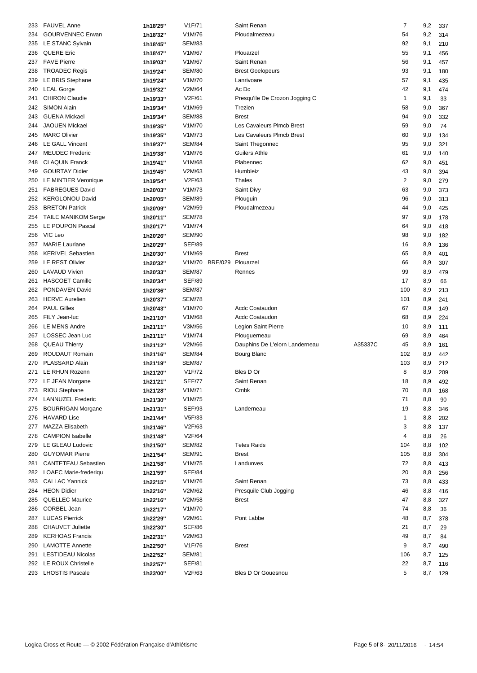| 233 | <b>FAUVEL Anne</b>         | 1h18'25" | V1F/71        |         | Saint Renan                    |         | 7              | 9,2     | 337 |
|-----|----------------------------|----------|---------------|---------|--------------------------------|---------|----------------|---------|-----|
| 234 | <b>GOURVENNEC Erwan</b>    | 1h18'32" | V1M/76        |         | Ploudalmezeau                  |         | 54             | 9,2     | 314 |
| 235 | LE STANC Sylvain           | 1h18'45" | <b>SEM/83</b> |         |                                |         | 92             | 9,1     | 210 |
| 236 | <b>QUERE Eric</b>          | 1h18'47" | V1M/67        |         | Plouarzel                      |         | 55             | 9,1     | 456 |
| 237 | <b>FAVE Pierre</b>         | 1h19'03" | V1M/67        |         | Saint Renan                    |         | 56             | 9,1     | 457 |
| 238 | <b>TROADEC Regis</b>       |          | <b>SEM/80</b> |         | <b>Brest Goelopeurs</b>        |         | 93             | 9,1     | 180 |
|     |                            | 1h19'24" |               |         |                                |         |                |         |     |
| 239 | LE BRIS Stephane           | 1h19'24" | V1M/70        |         | Lanrivoare                     |         | 57             | 9,1     | 435 |
| 240 | <b>LEAL Gorge</b>          | 1h19'32" | V2M/64        |         | Ac Dc                          |         | 42             | 9,1     | 474 |
| 241 | <b>CHIRON Claudie</b>      | 1h19'33" | V2F/61        |         | Presqu'ile De Crozon Jogging C |         | $\mathbf{1}$   | 9,1     | 33  |
| 242 | <b>SIMON Alain</b>         | 1h19'34" | V1M/69        |         | Trezien                        |         | 58             | 9,0     | 367 |
| 243 | <b>GUENA Mickael</b>       | 1h19'34" | <b>SEM/88</b> |         | Brest                          |         | 94             | 9,0     | 332 |
| 244 | <b>JAOUEN Mickael</b>      | 1h19'35" | V1M/70        |         | Les Cavaleurs Plmcb Brest      |         | 59             | 9,0     | 74  |
| 245 | <b>MARC Olivier</b>        | 1h19'35" | V1M/73        |         | Les Cavaleurs Plmcb Brest      |         | 60             | 9,0     | 134 |
| 246 | <b>LE GALL Vincent</b>     | 1h19'37" | <b>SEM/84</b> |         | Saint Thegonnec                |         | 95             | 9,0     | 321 |
| 247 | <b>MEUDEC Frederic</b>     | 1h19'38" | V1M/76        |         | Guilers Athle                  |         | 61             | 9,0     | 140 |
| 248 | <b>CLAQUIN Franck</b>      | 1h19'41" | V1M/68        |         | Plabennec                      |         | 62             | 9,0     | 451 |
| 249 | <b>GOURTAY Didier</b>      | 1h19'45" | V2M/63        |         | Humbleiz                       |         | 43             | 9,0     | 394 |
| 250 | LE MINTIER Veronique       | 1h19'54" | V2F/63        |         | Thales                         |         | $\overline{2}$ | 9,0     | 279 |
| 251 | <b>FABREGUES David</b>     | 1h20'03" | V1M/73        |         | Saint Divy                     |         | 63             | 9,0     | 373 |
| 252 | <b>KERGLONOU David</b>     | 1h20'05" | <b>SEM/89</b> |         | Plouguin                       |         | 96             | 9,0     | 313 |
|     | <b>BRETON Patrick</b>      |          | V2M/59        |         | Ploudalmezeau                  |         | 44             |         |     |
| 253 |                            | 1h20'09" |               |         |                                |         |                | 9,0     | 425 |
| 254 | <b>TAILE MANIKOM Serge</b> | 1h20'11" | <b>SEM/78</b> |         |                                |         | 97             | 9,0     | 178 |
| 255 | LE POUPON Pascal           | 1h20'17" | V1M/74        |         |                                |         | 64             | 9,0     | 418 |
| 256 | VIC Leo                    | 1h20'26" | <b>SEM/90</b> |         |                                |         | 98             | 9,0     | 182 |
| 257 | <b>MARIE Lauriane</b>      | 1h20'29" | <b>SEF/89</b> |         |                                |         | 16             | 8,9     | 136 |
| 258 | <b>KERIVEL Sebastien</b>   | 1h20'30" | V1M/69        |         | <b>Brest</b>                   |         | 65             | 8,9     | 401 |
| 259 | LE REST Olivier            | 1h20'32" | V1M/70        | BRE/029 | Plouarzel                      |         | 66             | 8,9     | 307 |
| 260 | <b>LAVAUD Vivien</b>       | 1h20'33" | <b>SEM/87</b> |         | Rennes                         |         | 99             | 8,9     | 479 |
| 261 | <b>HASCOET Camille</b>     | 1h20'34" | <b>SEF/89</b> |         |                                |         | 17             | 8,9     | 66  |
| 262 | PONDAVEN David             | 1h20'36" | <b>SEM/87</b> |         |                                |         | 100            | 8,9     | 213 |
| 263 | <b>HERVE Aurelien</b>      | 1h20'37" | <b>SEM/78</b> |         |                                |         | 101            | 8,9     | 241 |
| 264 | <b>PAUL Gilles</b>         | 1h20'43" | V1M/70        |         | <b>Acdc Coataudon</b>          |         | 67             | 8,9     | 149 |
| 265 | FILY Jean-luc              | 1h21'10" | V1M/68        |         | <b>Acdc Coataudon</b>          |         | 68             | 8,9     | 224 |
| 266 | <b>LE MENS Andre</b>       | 1h21'11" | V3M/56        |         | Legion Saint Pierre            |         | 10             | 8,9     | 111 |
| 267 | <b>LOSSEC Jean Luc</b>     |          | V1M/74        |         | Plouguerneau                   |         | 69             | 8,9     | 464 |
|     |                            | 1h21'11" |               |         |                                |         |                |         |     |
| 268 | <b>QUEAU Thierry</b>       | 1h21'12" | V2M/66        |         | Dauphins De L'elorn Landerneau | A35337C | 45             | 8,9     | 161 |
| 269 | <b>ROUDAUT Romain</b>      | 1h21'16" | <b>SEM/84</b> |         | Bourg Blanc                    |         | 102            | 8,9     | 442 |
| 270 | PLASSARD Alain             | 1h21'19" | <b>SEM/87</b> |         |                                |         | 103            | 8,9     | 212 |
|     | 271 LE RHUN Rozenn         | 1h21'20" | V1F/72        |         | Bles D Or                      |         | 8              | 8,9     | 209 |
|     | 272 LE JEAN Morgane        | 1h21'21" | <b>SEF/77</b> |         | Saint Renan                    |         | 18             | 8,9 492 |     |
| 273 | RIOU Stephane              | 1h21'28" | V1M/71        |         | Cmbk                           |         | 70             | 8,8     | 168 |
| 274 | <b>LANNUZEL Frederic</b>   | 1h21'30" | V1M/75        |         |                                |         | 71             | 8,8     | 90  |
| 275 | <b>BOURRIGAN Morgane</b>   | 1h21'31" | <b>SEF/93</b> |         | Landerneau                     |         | 19             | 8,8     | 346 |
| 276 | <b>HAVARD Lise</b>         | 1h21'44" | V5F/33        |         |                                |         | 1              | 8,8     | 202 |
| 277 | <b>MAZZA Elisabeth</b>     | 1h21'46" | V2F/63        |         |                                |         | 3              | 8,8     | 137 |
| 278 | <b>CAMPION Isabelle</b>    | 1h21'48" | V2F/64        |         |                                |         | 4              | 8,8     | 26  |
| 279 | LE GLEAU Ludovic           | 1h21'50" | <b>SEM/82</b> |         | <b>Tetes Raids</b>             |         | 104            | 8,8     | 102 |
| 280 | <b>GUYOMAR Pierre</b>      | 1h21'54" | <b>SEM/91</b> |         | Brest                          |         | 105            | 8,8     | 304 |
| 281 | <b>CANTETEAU Sebastien</b> | 1h21'58" | V1M/75        |         | Landunves                      |         | 72             | 8,8     | 413 |
|     | 282 LOAEC Marie-frederiqu  | 1h21'59" | <b>SEF/84</b> |         |                                |         | 20             | 8,8     | 256 |
| 283 | <b>CALLAC Yannick</b>      |          | V1M/76        |         | Saint Renan                    |         | 73             | 8,8     | 433 |
|     | 284 HEON Didier            | 1h22'15" | V2M/62        |         |                                |         | 46             |         |     |
|     |                            | 1h22'16" |               |         | Presquile Club Jogging         |         |                | 8,8     | 416 |
| 285 | <b>QUELLEC Maurice</b>     | 1h22'16" | V2M/58        |         | Brest                          |         | 47             | 8,8     | 327 |
| 286 | CORBEL Jean                | 1h22'17" | V1M/70        |         |                                |         | 74             | 8,8     | 36  |
| 287 | <b>LUCAS Pierrick</b>      | 1h22'29" | V2M/61        |         | Pont Labbe                     |         | 48             | 8,7     | 378 |
| 288 | <b>CHAUVET Juliette</b>    | 1h22'30" | <b>SEF/86</b> |         |                                |         | 21             | 8,7     | 29  |
| 289 | <b>KERHOAS Francis</b>     | 1h22'31" | V2M/63        |         |                                |         | 49             | 8,7     | 84  |
| 290 | <b>LAMOTTE Annette</b>     | 1h22'50" | V1F/76        |         | Brest                          |         | 9              | 8,7     | 490 |
| 291 | <b>LESTIDEAU Nicolas</b>   | 1h22'52" | <b>SEM/81</b> |         |                                |         | 106            | 8,7     | 125 |
|     | 292 LE ROUX Christelle     | 1h22'57" | <b>SEF/81</b> |         |                                |         | 22             | 8,7     | 116 |
|     | 293 LHOSTIS Pascale        | 1h23'00" | V2F/63        |         | Bles D Or Gouesnou             |         | 5              | 8,7 129 |     |
|     |                            |          |               |         |                                |         |                |         |     |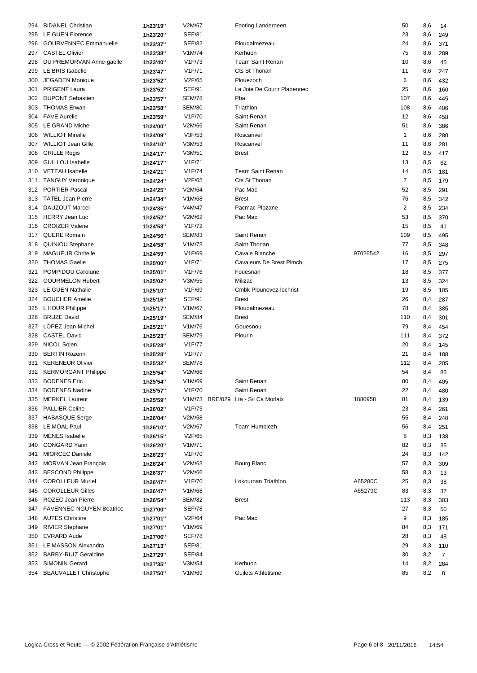| 294 | <b>BIDANEL Christian</b>                       | 1h23'19" | V2M/67              | Footing Landerneen                  |          | 50             | 8,6     | 14             |
|-----|------------------------------------------------|----------|---------------------|-------------------------------------|----------|----------------|---------|----------------|
| 295 | LE GUEN Florence                               | 1h23'20" | <b>SEF/81</b>       |                                     |          | 23             | 8,6     | 249            |
| 296 | <b>GOURVENNEC Emmanuelle</b>                   | 1h23'37" | <b>SEF/82</b>       | Ploudalmezeau                       |          | 24             | 8,6     | 371            |
| 297 | <b>CASTEL Olivier</b>                          | 1h23'38" | V1M/74              | Kerhuon                             |          | 75             | 8,6     | 289            |
| 298 | DU PREMORVAN Anne-gaelle                       | 1h23'40" | V1F/73              | <b>Team Saint Renan</b>             |          | 10             | 8,6     | 45             |
| 299 | LE BRIS Isabelle                               | 1h23'47" | V1F/71              | Cts St Thonan                       |          | 11             | 8,6     | 247            |
|     | <b>JEGADEN Monique</b>                         |          | V2F/65              | Plouezoch                           |          | 6              |         |                |
| 300 | <b>PRIGENT Laura</b>                           | 1h23'52" | <b>SEF/91</b>       | La Joie De Courir Plabennec         |          | 25             | 8,6     | 432            |
| 301 |                                                | 1h23'52" |                     |                                     |          |                | 8,6     | 160            |
| 302 | <b>DUPONT Sebastien</b><br><b>THOMAS Erwan</b> | 1h23'57" | <b>SEM/78</b>       | Pba                                 |          | 107            | 8,6     | 445            |
| 303 |                                                | 1h23'58" | <b>SEM/80</b>       | Triathlon                           |          | 108            | 8,6     | 406            |
| 304 | <b>FAVE Aurelie</b>                            | 1h23'59" | V1F/70              | Saint Renan                         |          | 12             | 8,6     | 458            |
| 305 | LE GRAND Michel                                | 1h24'00" | V2M/66              | Saint Renan                         |          | 51             | 8,6     | 386            |
| 306 | <b>WILLIOT Mireille</b>                        | 1h24'09" | V3F/53              | Roscanvel                           |          | $\mathbf{1}$   | 8,6     | 280            |
| 307 | <b>WILLIOT Jean Gille</b>                      | 1h24'10" | V3M/53              | Roscanvel                           |          | 11             | 8,6     | 281            |
| 308 | <b>GRILLE Regis</b>                            | 1h24'17" | V3M/51              | <b>Brest</b>                        |          | 12             | 8,5     | 417            |
| 309 | <b>GUILLOU Isabelle</b>                        | 1h24'17" | V1F/71              |                                     |          | 13             | 8,5     | 62             |
| 310 | <b>VETEAU</b> Isabelle                         | 1h24'21" | V1F/74              | <b>Team Saint Renan</b>             |          | 14             | 8,5     | 181            |
| 311 | <b>TANGUY Veronique</b>                        | 1h24'24" | V2F/65              | Cts St Thonan                       |          | $\overline{7}$ | 8,5     | 179            |
| 312 | <b>PORTIER Pascal</b>                          | 1h24'25" | V2M/64              | Pac Mac                             |          | 52             | 8,5     | 291            |
| 313 | <b>TATEL Jean Pierre</b>                       | 1h24'34" | V1M/68              | <b>Brest</b>                        |          | 76             | 8,5     | 342            |
| 314 | <b>DAUZOUT Marcel</b>                          | 1h24'35" | V4M/47              | Pacmac Plozane                      |          | $\overline{2}$ | 8,5     | 234            |
| 315 | <b>HERRY Jean Luc</b>                          | 1h24'52" | V2M/62              | Pac Mac                             |          | 53             | 8,5     | 370            |
| 316 | <b>CROIZER Valerie</b>                         | 1h24'53" | V1F/72              |                                     |          | 15             | 8,5     | 41             |
| 317 | QUERE Romain                                   | 1h24'56" | <b>SEM/83</b>       | Saint Renan                         |          | 109            | 8,5     | 495            |
| 318 | <b>QUINIOU Stephane</b>                        | 1h24'58" | V1M/73              | Saint Thonan                        |          | 77             | 8,5     | 348            |
| 319 | <b>MAGUEUR Chritelle</b>                       | 1h24'59" | V1F/69              | Cavale Blanche                      | 97026542 | 16             | 8,5     | 297            |
| 320 | <b>THOMAS Gaelle</b>                           |          | V1F/71              | Cavaleurs De Brest Plmcb            |          | 17             | 8,5     | 275            |
| 321 | POMPIDOU Carolune                              | 1h25'00" | V1F/76              | Fouesnan                            |          | 18             | 8,5     |                |
|     |                                                | 1h25'01" |                     |                                     |          |                |         | 377            |
| 322 | <b>GOURMELON Hubert</b>                        | 1h25'02" | V3M/55              | Milizac                             |          | 13             | 8,5     | 324            |
| 323 | LE GUEN Nathalie                               | 1h25'10" | V1F/69              | Cmbk Plounevez-lochrist             |          | 19             | 8,5     | 105            |
| 324 | <b>BOUCHER Amelie</b>                          | 1h25'16" | <b>SEF/91</b>       | <b>Brest</b>                        |          | 26             | 8,4     | 287            |
| 325 | L'HOUR Philippe                                | 1h25'17" | V1M/67              | Ploudalmezeau                       |          | 78             | 8,4     | 385            |
| 326 | <b>BRUZE David</b>                             | 1h25'19" | <b>SEM/84</b>       | <b>Brest</b>                        |          | 110            | 8,4     | 301            |
| 327 | LOPEZ Jean Michel                              | 1h25'21" | V1M/76              | Gouesnou                            |          | 79             | 8,4     | 454            |
| 328 | <b>CASTEL David</b>                            | 1h25'23" | <b>SEM/79</b>       | Plourin                             |          | 111            | 8,4     | 372            |
| 329 | NICOL Solen                                    | 1h25'28" | V <sub>1</sub> F/77 |                                     |          | 20             | 8,4     | 145            |
| 330 | <b>BERTIN Rozenn</b>                           | 1h25'28" | V1F/77              |                                     |          | 21             | 8,4     | 188            |
| 331 | <b>KERENEUR Olivier</b>                        | 1h25'32" | <b>SEM/78</b>       |                                     |          | 112            | 8,4     | 205            |
|     | 332 KERMORGANT Philippe                        | 1h25'54" | V2M/66              |                                     |          | 54             | 8,4     | 85             |
|     | 333 BODENES Eric                               | 1h25'54" | V1M/69              | Saint Renan                         |          | 80             | 8,4 405 |                |
| 334 | <b>BODENES Nadine</b>                          | 1h25'57" | V1F/70              | Saint Renan                         |          | 22             | 8,4     | 480            |
|     | 335 MERKEL Laurent                             | 1h25'59" |                     | V1M/73 BRE/029 Lta - S/I Ca Morlaix | 1880958  | 81             | 8,4     | 139            |
| 336 | <b>PALLIER Celine</b>                          | 1h26'02" | V1F/73              |                                     |          | 23             | 8,4     | 261            |
| 337 | HABASQUE Serge                                 | 1h26'04" | V2M/58              |                                     |          | 55             | 8,4     | 240            |
| 338 | LE MOAL Paul                                   | 1h26'10" | V2M/67              | Team Humblezh                       |          | 56             | 8,4     | 251            |
| 339 | <b>MENES</b> Isabelle                          | 1h26'15" | V2F/65              |                                     |          | 8              | 8,3     | 138            |
| 340 | <b>CONGARD Yann</b>                            | 1h26'20" | V1M/71              |                                     |          | 82             | 8,3     | 35             |
| 341 | <b>MIORCEC Daniele</b>                         |          | V1F/70              |                                     |          | 24             | 8,3     |                |
|     |                                                | 1h26'23" | V2M/63              |                                     |          |                | 8,3     | 142            |
| 342 | MORVAN Jean François                           | 1h26'24" |                     | Bourg Blanc                         |          | 57             |         | 309            |
| 343 | <b>BESCOND Philippe</b>                        | 1h26'37" | V2M/66              |                                     |          | 58             | 8,3     | 13             |
| 344 | <b>COROLLEUR Muriel</b>                        | 1h26'47" | V1F/70              | Lokournan Triathlon                 | A65280C  | 25             | 8,3     | 38             |
| 345 | <b>COROLLEUR Gilles</b>                        | 1h26'47" | V1M/68              |                                     | A65279C  | 83             | 8,3     | 37             |
| 346 | <b>ROZEC Jean Pierre</b>                       | 1h26'54" | <b>SEM/82</b>       | <b>Brest</b>                        |          | 113            | 8,3     | 303            |
| 347 | FAVENNEC-NGUYEN Beatrice                       | 1h27'00" | <b>SEF/78</b>       |                                     |          | 27             | 8,3     | 50             |
| 348 | <b>AUTES Christine</b>                         | 1h27'01" | V2F/64              | Pac Mac                             |          | 9              | 8,3     | 185            |
| 349 | <b>RIVIER Stephane</b>                         | 1h27'01" | V1M/69              |                                     |          | 84             | 8,3     | 171            |
| 350 | <b>EVRARD Aude</b>                             | 1h27'06" | <b>SEF/78</b>       |                                     |          | 28             | 8,3     | 48             |
| 351 | LE MASSON Alexandra                            | 1h27'13" | <b>SEF/81</b>       |                                     |          | 29             | 8,3     | 110            |
|     | 352 BARBY-RUIZ Geraldine                       | 1h27'29" | <b>SEF/84</b>       |                                     |          | 30             | 8,2     | $\overline{7}$ |
|     | 353 SIMONIN Gerard                             | 1h27'35" | V3M/54              | Kerhuon                             |          | 14             | 8,2     | 284            |
|     | 354 BEAUVALLET Christophe                      | 1h27'50" | V1M/69              | <b>Guilets Athletisme</b>           |          | 85             | 8,2     | 8              |
|     |                                                |          |                     |                                     |          |                |         |                |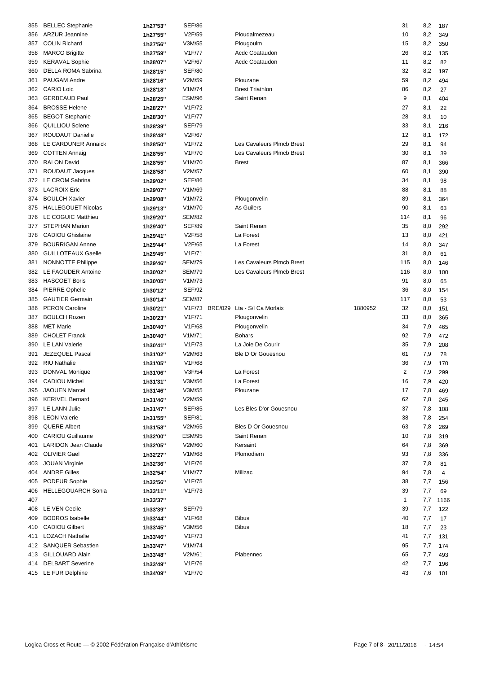| 355 | <b>BELLEC</b> Stephanie    | 1h27'53" | <b>SEF/86</b> |                                     |         | 31           | 8,2 | 187  |
|-----|----------------------------|----------|---------------|-------------------------------------|---------|--------------|-----|------|
| 356 | <b>ARZUR Jeannine</b>      | 1h27'55" | V2F/59        | Ploudalmezeau                       |         | 10           | 8,2 | 349  |
| 357 | <b>COLIN Richard</b>       | 1h27'56" | V3M/55        | Plougoulm                           |         | 15           | 8,2 | 350  |
| 358 | <b>MARCO Brigitte</b>      | 1h27'59" | <b>V1F/77</b> | Acdc Coataudon                      |         | 26           | 8,2 | 135  |
| 359 | <b>KERAVAL Sophie</b>      | 1h28'07" | V2F/67        | Acdc Coataudon                      |         | 11           | 8,2 | 82   |
| 360 | DELLA ROMA Sabrina         | 1h28'15" | <b>SEF/80</b> |                                     |         | 32           | 8,2 | 197  |
| 361 | PAUGAM Andre               | 1h28'16" | V2M/59        | Plouzane                            |         | 59           | 8,2 | 494  |
|     | 362 CARIO Loic             | 1h28'18" | V1M/74        | <b>Brest Triathlon</b>              |         | 86           | 8,2 | 27   |
| 363 | <b>GERBEAUD Paul</b>       | 1h28'25" | <b>ESM/96</b> | Saint Renan                         |         | 9            | 8,1 | 404  |
| 364 | <b>BROSSE Helene</b>       | 1h28'27" | V1F/72        |                                     |         | 27           | 8,1 | 22   |
| 365 | <b>BEGOT Stephanie</b>     |          | V1F/77        |                                     |         | 28           | 8,1 | 10   |
|     |                            | 1h28'30" |               |                                     |         |              |     |      |
| 366 | QUILLIOU Solene            | 1h28'39" | <b>SEF/79</b> |                                     |         | 33           | 8,1 | 216  |
| 367 | <b>ROUDAUT Danielle</b>    | 1h28'48" | V2F/67        |                                     |         | 12           | 8,1 | 172  |
| 368 | LE CARDUNER Annaick        | 1h28'50" | V1F/72        | Les Cavaleurs Plmcb Brest           |         | 29           | 8,1 | 94   |
| 369 | <b>COTTEN Annaig</b>       | 1h28'55" | V1F/70        | Les Cavaleurs Plmcb Brest           |         | 30           | 8,1 | 39   |
| 370 | <b>RALON David</b>         | 1h28'55" | V1M/70        | <b>Brest</b>                        |         | 87           | 8,1 | 366  |
| 371 | ROUDAUT Jacques            | 1h28'58" | V2M/57        |                                     |         | 60           | 8,1 | 390  |
| 372 | LE CROM Sabrina            | 1h29'02" | <b>SEF/86</b> |                                     |         | 34           | 8,1 | 98   |
| 373 | <b>LACROIX Eric</b>        | 1h29'07" | V1M/69        |                                     |         | 88           | 8,1 | 88   |
| 374 | <b>BOULCH Xavier</b>       | 1h29'08" | V1M/72        | Plougonvelin                        |         | 89           | 8,1 | 364  |
| 375 | <b>HALLEGOUET Nicolas</b>  | 1h29'13" | V1M/70        | As Guilers                          |         | 90           | 8,1 | 63   |
| 376 | LE COGUIC Matthieu         | 1h29'20" | <b>SEM/82</b> |                                     |         | 114          | 8,1 | 96   |
| 377 | STEPHAN Marion             | 1h29'40" | <b>SEF/89</b> | Saint Renan                         |         | 35           | 8,0 | 292  |
| 378 | <b>CADIOU Ghislaine</b>    | 1h29'41" | V2F/58        | La Forest                           |         | 13           | 8,0 | 421  |
| 379 | <b>BOURRIGAN Annne</b>     | 1h29'44" | V2F/65        | La Forest                           |         | 14           | 8,0 | 347  |
| 380 | <b>GUILLOTEAUX Gaelle</b>  | 1h29'45" | V1F/71        |                                     |         | 31           | 8,0 | 61   |
| 381 | NONNOTTE Philippe          | 1h29'46" | <b>SEM/79</b> | Les Cavaleurs Plmcb Brest           |         | 115          | 8,0 | 146  |
|     | 382 LE FAOUDER Antoine     | 1h30'02" | <b>SEM/79</b> | Les Cavaleurs Plmcb Brest           |         | 116          | 8,0 | 100  |
| 383 | <b>HASCOET Boris</b>       | 1h30'05" | V1M/73        |                                     |         | 91           | 8,0 | 65   |
| 384 | <b>PIERRE Ophelie</b>      | 1h30'12" | <b>SEF/92</b> |                                     |         | 36           | 8,0 | 154  |
| 385 | <b>GAUTIER Germain</b>     | 1h30'14" | <b>SEM/87</b> |                                     |         | 117          | 8,0 | 53   |
| 386 | <b>PERON Caroline</b>      | 1h30'21" |               | V1F/73 BRE/029 Lta - S/I Ca Morlaix | 1880952 | 32           | 8,0 | 151  |
| 387 | <b>BOULCH Rozen</b>        | 1h30'23" | V1F/71        | Plougonvelin                        |         | 33           | 8,0 | 365  |
|     | <b>MET Marie</b>           |          | V1F/68        |                                     |         |              |     |      |
| 388 |                            | 1h30'40" |               | Plougonvelin                        |         | 34           | 7,9 | 465  |
| 389 | <b>CHOLET Franck</b>       | 1h30'40" | V1M/71        | <b>Bohars</b>                       |         | 92           | 7,9 | 472  |
| 390 | <b>LE LAN Valerie</b>      | 1h30'41" | V1F/73        | La Joie De Courir                   |         | 35           | 7,9 | 208  |
| 391 | JEZEQUEL Pascal            | 1h31'02" | V2M/63        | Ble D Or Gouesnou                   |         | 61           | 7,9 | 78   |
| 392 | <b>RIU Nathalie</b>        | 1h31'05" | V1F/68        |                                     |         | 36           | 7,9 | 170  |
|     | 393 DONVAL Monique         | 1h31'06" | V3F/54        | La Forest                           |         | 2            | 7,9 | 299  |
|     | 394 CADIOU Michel          | 1h31'31" | V3M/56        | La Forest                           |         | 16           | 7,9 | 420  |
| 395 | <b>JAOUEN Marcel</b>       | 1h31'46" | V3M/55        | Plouzane                            |         | 17           | 7,8 | 469  |
| 396 | <b>KERIVEL Bernard</b>     | 1h31'46" | V2M/59        |                                     |         | 62           | 7,8 | 245  |
| 397 | LE LANN Julie              | 1h31'47" | <b>SEF/85</b> | Les Bles D'or Gouesnou              |         | 37           | 7,8 | 108  |
|     | 398 LEON Valerie           | 1h31'55" | <b>SEF/81</b> |                                     |         | 38           | 7,8 | 254  |
| 399 | <b>QUERE Albert</b>        | 1h31'58" | V2M/65        | Bles D Or Gouesnou                  |         | 63           | 7,8 | 269  |
| 400 | <b>CARIOU Guillaume</b>    | 1h32'00" | <b>ESM/95</b> | Saint Renan                         |         | 10           | 7,8 | 319  |
| 401 | <b>LARIDON Jean Claude</b> | 1h32'05" | V2M/60        | Kersaint                            |         | 64           | 7,8 | 369  |
|     | 402 OLIVIER Gael           | 1h32'27" | V1M/68        | Plomodiern                          |         | 93           | 7,8 | 336  |
| 403 | <b>JOUAN Virginie</b>      | 1h32'36" | V1F/76        |                                     |         | 37           | 7,8 | 81   |
| 404 | <b>ANDRE Gilles</b>        | 1h32'54" | V1M/77        | Milizac                             |         | 94           | 7,8 | 4    |
| 405 | PODEUR Sophie              | 1h32'56" | V1F/75        |                                     |         | 38           | 7,7 | 156  |
| 406 | <b>HELLEGOUARCH Sonia</b>  | 1h33'11" | V1F/73        |                                     |         | 39           | 7,7 | 69   |
| 407 |                            | 1h33'37" |               |                                     |         | $\mathbf{1}$ | 7,7 | 1166 |
| 408 | LE VEN Cecile              |          | <b>SEF/79</b> |                                     |         | 39           |     |      |
|     |                            | 1h33'39" |               |                                     |         |              | 7,7 | 122  |
| 409 | <b>BODROS</b> Isabelle     | 1h33'44" | V1F/68        | <b>Bibus</b>                        |         | 40           | 7,7 | 17   |
| 410 | <b>CADIOU Gilbert</b>      | 1h33'45" | V3M/56        | <b>Bibus</b>                        |         | 18           | 7,7 | 23   |
| 411 | <b>LOZACH Nathalie</b>     | 1h33'46" | V1F/73        |                                     |         | 41           | 7,7 | 131  |
|     | 412 SANQUER Sebastien      | 1h33'47" | V1M/74        |                                     |         | 95           | 7,7 | 174  |
|     | 413 GILLOUARD Alain        | 1h33'48" | V2M/61        | Plabennec                           |         | 65           | 7,7 | 493  |
| 414 | <b>DELBART Severine</b>    | 1h33'49" | V1F/76        |                                     |         | 42           | 7,7 | 196  |
|     | 415 LE FUR Delphine        | 1h34'09" | V1F/70        |                                     |         | 43           | 7,6 | 101  |
|     |                            |          |               |                                     |         |              |     |      |